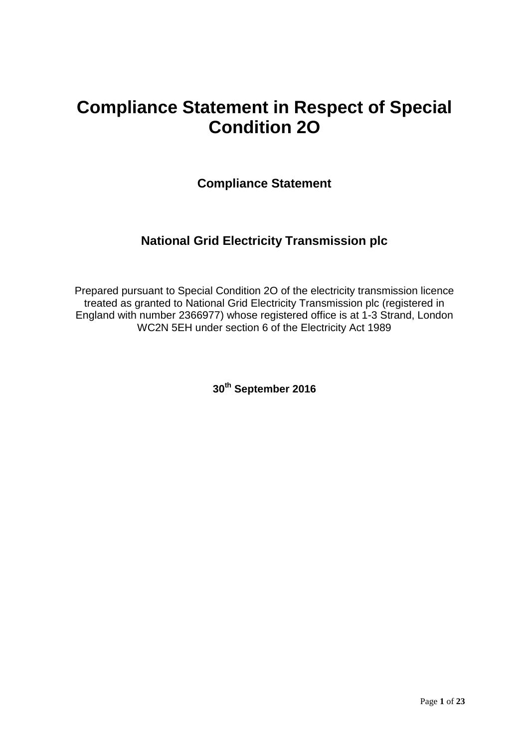# **Compliance Statement in Respect of Special Condition 2O**

**Compliance Statement**

# **National Grid Electricity Transmission plc**

Prepared pursuant to Special Condition 2O of the electricity transmission licence treated as granted to National Grid Electricity Transmission plc (registered in England with number 2366977) whose registered office is at 1-3 Strand, London WC2N 5EH under section 6 of the Electricity Act 1989

**30th September 2016**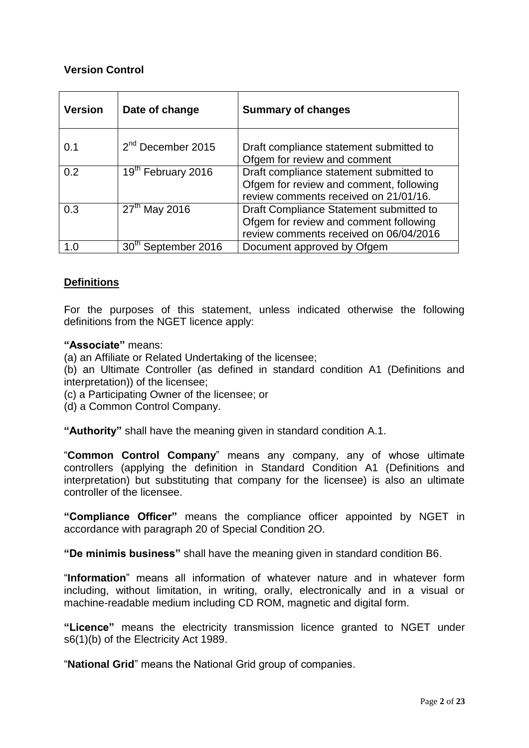# **Version Control**

| <b>Version</b> | Date of change                  | <b>Summary of changes</b>                                                                                                   |  |
|----------------|---------------------------------|-----------------------------------------------------------------------------------------------------------------------------|--|
| 0.1            | 2 <sup>nd</sup> December 2015   | Draft compliance statement submitted to<br>Ofgem for review and comment                                                     |  |
| 0.2            | 19th February 2016              | Draft compliance statement submitted to<br>Ofgem for review and comment, following<br>review comments received on 21/01/16. |  |
| 0.3            | $27th$ May 2016                 | Draft Compliance Statement submitted to<br>Ofgem for review and comment following<br>review comments received on 06/04/2016 |  |
| 1.0            | 30 <sup>th</sup> September 2016 | Document approved by Ofgem                                                                                                  |  |

# **Definitions**

For the purposes of this statement, unless indicated otherwise the following definitions from the NGET licence apply:

# **"Associate"** means:

(a) an Affiliate or Related Undertaking of the licensee;

(b) an Ultimate Controller (as defined in standard condition A1 (Definitions and interpretation)) of the licensee;

- (c) a Participating Owner of the licensee; or
- (d) a Common Control Company.

**"Authority"** shall have the meaning given in standard condition A.1.

"**Common Control Company**" means any company, any of whose ultimate controllers (applying the definition in Standard Condition A1 (Definitions and interpretation) but substituting that company for the licensee) is also an ultimate controller of the licensee.

**"Compliance Officer"** means the compliance officer appointed by NGET in accordance with paragraph 20 of Special Condition 2O.

**"De minimis business"** shall have the meaning given in standard condition B6.

"**Information**" means all information of whatever nature and in whatever form including, without limitation, in writing, orally, electronically and in a visual or machine-readable medium including CD ROM, magnetic and digital form.

**"Licence"** means the electricity transmission licence granted to NGET under s6(1)(b) of the Electricity Act 1989.

"**National Grid**" means the National Grid group of companies.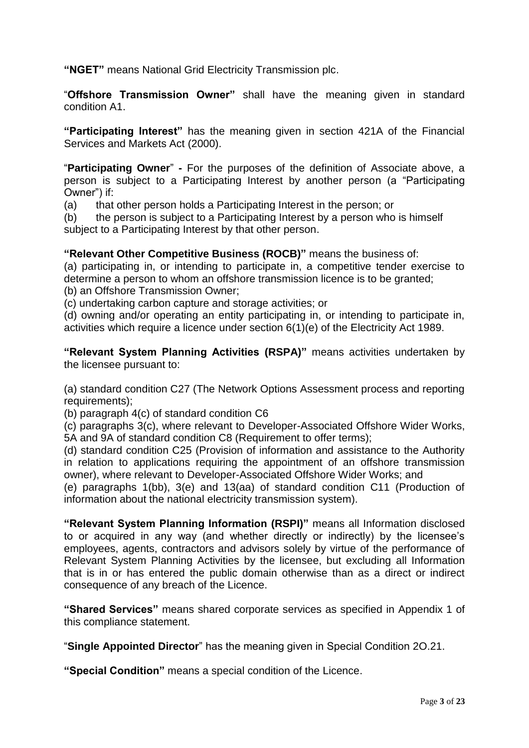**"NGET"** means National Grid Electricity Transmission plc.

"**Offshore Transmission Owner"** shall have the meaning given in standard condition A1.

**"Participating Interest"** has the meaning given in section 421A of the Financial Services and Markets Act (2000).

"**Participating Owner**" **-** For the purposes of the definition of Associate above, a person is subject to a Participating Interest by another person (a "Participating Owner") if:

(a) that other person holds a Participating Interest in the person; or

(b) the person is subject to a Participating Interest by a person who is himself subject to a Participating Interest by that other person.

# **"Relevant Other Competitive Business (ROCB)"** means the business of:

(a) participating in, or intending to participate in, a competitive tender exercise to determine a person to whom an offshore transmission licence is to be granted; (b) an Offshore Transmission Owner;

(c) undertaking carbon capture and storage activities; or

(d) owning and/or operating an entity participating in, or intending to participate in, activities which require a licence under section 6(1)(e) of the Electricity Act 1989.

**"Relevant System Planning Activities (RSPA)"** means activities undertaken by the licensee pursuant to:

(a) standard condition C27 (The Network Options Assessment process and reporting requirements);

(b) paragraph 4(c) of standard condition C6

(c) paragraphs 3(c), where relevant to Developer-Associated Offshore Wider Works, 5A and 9A of standard condition C8 (Requirement to offer terms);

(d) standard condition C25 (Provision of information and assistance to the Authority in relation to applications requiring the appointment of an offshore transmission owner), where relevant to Developer-Associated Offshore Wider Works; and

(e) paragraphs 1(bb), 3(e) and 13(aa) of standard condition C11 (Production of information about the national electricity transmission system).

**"Relevant System Planning Information (RSPI)"** means all Information disclosed to or acquired in any way (and whether directly or indirectly) by the licensee's employees, agents, contractors and advisors solely by virtue of the performance of Relevant System Planning Activities by the licensee, but excluding all Information that is in or has entered the public domain otherwise than as a direct or indirect consequence of any breach of the Licence.

**"Shared Services"** means shared corporate services as specified in Appendix 1 of this compliance statement.

"**Single Appointed Director**" has the meaning given in Special Condition 2O.21.

**"Special Condition"** means a special condition of the Licence.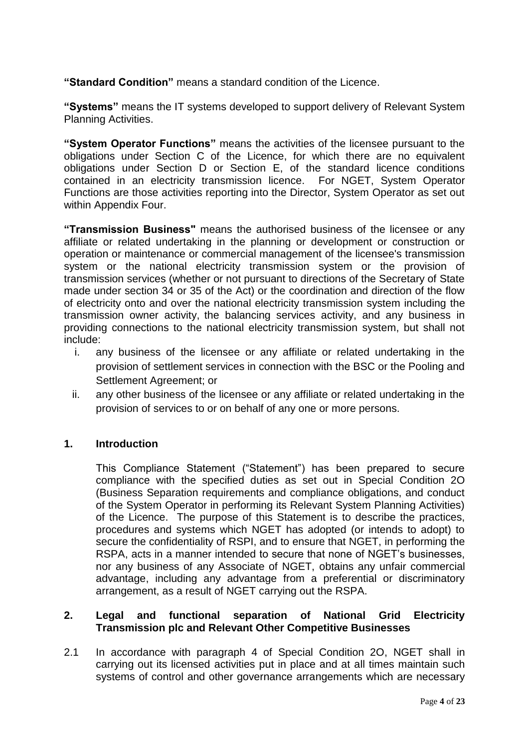**"Standard Condition"** means a standard condition of the Licence.

**"Systems"** means the IT systems developed to support delivery of Relevant System Planning Activities.

**"System Operator Functions"** means the activities of the licensee pursuant to the obligations under Section C of the Licence, for which there are no equivalent obligations under Section D or Section E, of the standard licence conditions contained in an electricity transmission licence. For NGET, System Operator Functions are those activities reporting into the Director, System Operator as set out within Appendix Four.

**"Transmission Business"** means the authorised business of the licensee or any affiliate or related undertaking in the planning or development or construction or operation or maintenance or commercial management of the licensee's transmission system or the national electricity transmission system or the provision of transmission services (whether or not pursuant to directions of the Secretary of State made under section 34 or 35 of the Act) or the coordination and direction of the flow of electricity onto and over the national electricity transmission system including the transmission owner activity, the balancing services activity, and any business in providing connections to the national electricity transmission system, but shall not include:

- i. any business of the licensee or any affiliate or related undertaking in the provision of settlement services in connection with the BSC or the Pooling and Settlement Agreement; or
- ii. any other business of the licensee or any affiliate or related undertaking in the provision of services to or on behalf of any one or more persons.

# **1. Introduction**

This Compliance Statement ("Statement") has been prepared to secure compliance with the specified duties as set out in Special Condition 2O (Business Separation requirements and compliance obligations, and conduct of the System Operator in performing its Relevant System Planning Activities) of the Licence. The purpose of this Statement is to describe the practices, procedures and systems which NGET has adopted (or intends to adopt) to secure the confidentiality of RSPI, and to ensure that NGET, in performing the RSPA, acts in a manner intended to secure that none of NGET's businesses, nor any business of any Associate of NGET, obtains any unfair commercial advantage, including any advantage from a preferential or discriminatory arrangement, as a result of NGET carrying out the RSPA.

# **2. Legal and functional separation of National Grid Electricity Transmission plc and Relevant Other Competitive Businesses**

2.1 In accordance with paragraph 4 of Special Condition 2O, NGET shall in carrying out its licensed activities put in place and at all times maintain such systems of control and other governance arrangements which are necessary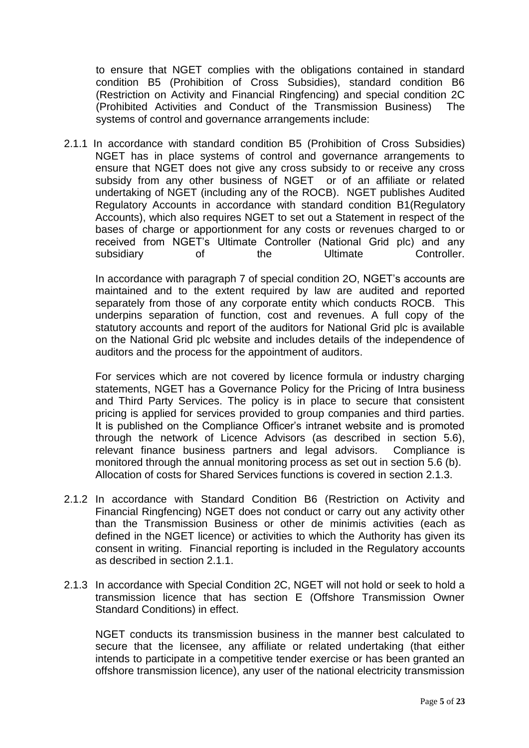to ensure that NGET complies with the obligations contained in standard condition B5 (Prohibition of Cross Subsidies), standard condition B6 (Restriction on Activity and Financial Ringfencing) and special condition 2C (Prohibited Activities and Conduct of the Transmission Business) The systems of control and governance arrangements include:

2.1.1 In accordance with standard condition B5 (Prohibition of Cross Subsidies) NGET has in place systems of control and governance arrangements to ensure that NGET does not give any cross subsidy to or receive any cross subsidy from any other business of NGET or of an affiliate or related undertaking of NGET (including any of the ROCB). NGET publishes Audited Regulatory Accounts in accordance with standard condition B1(Regulatory Accounts), which also requires NGET to set out a Statement in respect of the bases of charge or apportionment for any costs or revenues charged to or received from NGET's Ultimate Controller (National Grid plc) and any subsidiary of the Ultimate Controller.

In accordance with paragraph 7 of special condition 2O, NGET's accounts are maintained and to the extent required by law are audited and reported separately from those of any corporate entity which conducts ROCB. This underpins separation of function, cost and revenues. A full copy of the statutory accounts and report of the auditors for National Grid plc is available on the National Grid plc website and includes details of the independence of auditors and the process for the appointment of auditors.

For services which are not covered by licence formula or industry charging statements, NGET has a Governance Policy for the Pricing of Intra business and Third Party Services. The policy is in place to secure that consistent pricing is applied for services provided to group companies and third parties. It is published on the Compliance Officer's intranet website and is promoted through the network of Licence Advisors (as described in section 5.6), relevant finance business partners and legal advisors. Compliance is monitored through the annual monitoring process as set out in section 5.6 (b). Allocation of costs for Shared Services functions is covered in section 2.1.3.

- 2.1.2 In accordance with Standard Condition B6 (Restriction on Activity and Financial Ringfencing) NGET does not conduct or carry out any activity other than the Transmission Business or other de minimis activities (each as defined in the NGET licence) or activities to which the Authority has given its consent in writing. Financial reporting is included in the Regulatory accounts as described in section 2.1.1.
- 2.1.3 In accordance with Special Condition 2C, NGET will not hold or seek to hold a transmission licence that has section E (Offshore Transmission Owner Standard Conditions) in effect.

NGET conducts its transmission business in the manner best calculated to secure that the licensee, any affiliate or related undertaking (that either intends to participate in a competitive tender exercise or has been granted an offshore transmission licence), any user of the national electricity transmission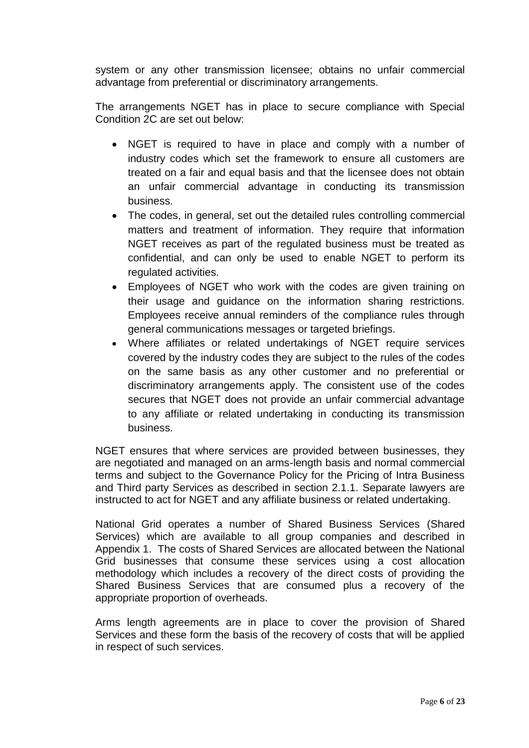system or any other transmission licensee; obtains no unfair commercial advantage from preferential or discriminatory arrangements.

The arrangements NGET has in place to secure compliance with Special Condition 2C are set out below:

- NGET is required to have in place and comply with a number of industry codes which set the framework to ensure all customers are treated on a fair and equal basis and that the licensee does not obtain an unfair commercial advantage in conducting its transmission business.
- The codes, in general, set out the detailed rules controlling commercial matters and treatment of information. They require that information NGET receives as part of the regulated business must be treated as confidential, and can only be used to enable NGET to perform its regulated activities.
- Employees of NGET who work with the codes are given training on their usage and guidance on the information sharing restrictions. Employees receive annual reminders of the compliance rules through general communications messages or targeted briefings.
- Where affiliates or related undertakings of NGET require services covered by the industry codes they are subject to the rules of the codes on the same basis as any other customer and no preferential or discriminatory arrangements apply. The consistent use of the codes secures that NGET does not provide an unfair commercial advantage to any affiliate or related undertaking in conducting its transmission business.

NGET ensures that where services are provided between businesses, they are negotiated and managed on an arms-length basis and normal commercial terms and subject to the Governance Policy for the Pricing of Intra Business and Third party Services as described in section 2.1.1. Separate lawyers are instructed to act for NGET and any affiliate business or related undertaking.

National Grid operates a number of Shared Business Services (Shared Services) which are available to all group companies and described in Appendix 1. The costs of Shared Services are allocated between the National Grid businesses that consume these services using a cost allocation methodology which includes a recovery of the direct costs of providing the Shared Business Services that are consumed plus a recovery of the appropriate proportion of overheads.

Arms length agreements are in place to cover the provision of Shared Services and these form the basis of the recovery of costs that will be applied in respect of such services.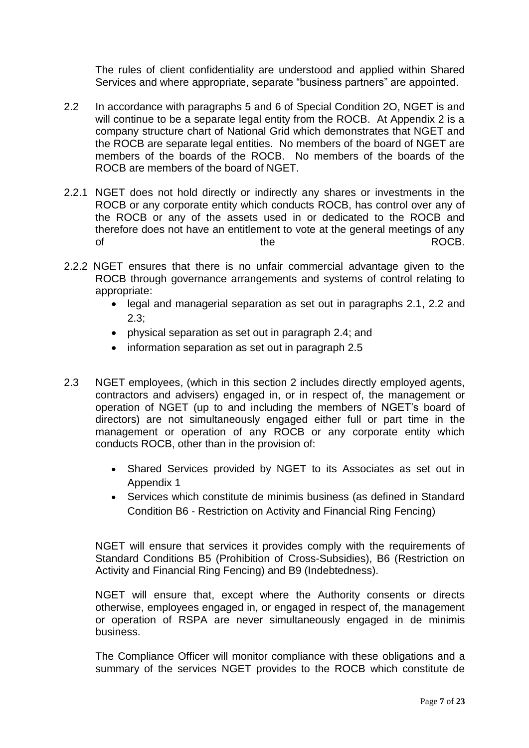The rules of client confidentiality are understood and applied within Shared Services and where appropriate, separate "business partners" are appointed.

- 2.2 In accordance with paragraphs 5 and 6 of Special Condition 2O, NGET is and will continue to be a separate legal entity from the ROCB. At Appendix 2 is a company structure chart of National Grid which demonstrates that NGET and the ROCB are separate legal entities. No members of the board of NGET are members of the boards of the ROCB. No members of the boards of the ROCB are members of the board of NGET.
- 2.2.1 NGET does not hold directly or indirectly any shares or investments in the ROCB or any corporate entity which conducts ROCB, has control over any of the ROCB or any of the assets used in or dedicated to the ROCB and therefore does not have an entitlement to vote at the general meetings of any of the the contract of  $\sim$  ROCB.
- 2.2.2 NGET ensures that there is no unfair commercial advantage given to the ROCB through governance arrangements and systems of control relating to appropriate:
	- legal and managerial separation as set out in paragraphs 2.1, 2.2 and 2.3;
	- physical separation as set out in paragraph 2.4; and
	- information separation as set out in paragraph 2.5
- 2.3 NGET employees, (which in this section 2 includes directly employed agents, contractors and advisers) engaged in, or in respect of, the management or operation of NGET (up to and including the members of NGET's board of directors) are not simultaneously engaged either full or part time in the management or operation of any ROCB or any corporate entity which conducts ROCB, other than in the provision of:
	- Shared Services provided by NGET to its Associates as set out in Appendix 1
	- Services which constitute de minimis business (as defined in Standard Condition B6 - Restriction on Activity and Financial Ring Fencing)

NGET will ensure that services it provides comply with the requirements of Standard Conditions B5 (Prohibition of Cross-Subsidies), B6 (Restriction on Activity and Financial Ring Fencing) and B9 (Indebtedness).

NGET will ensure that, except where the Authority consents or directs otherwise, employees engaged in, or engaged in respect of, the management or operation of RSPA are never simultaneously engaged in de minimis business.

The Compliance Officer will monitor compliance with these obligations and a summary of the services NGET provides to the ROCB which constitute de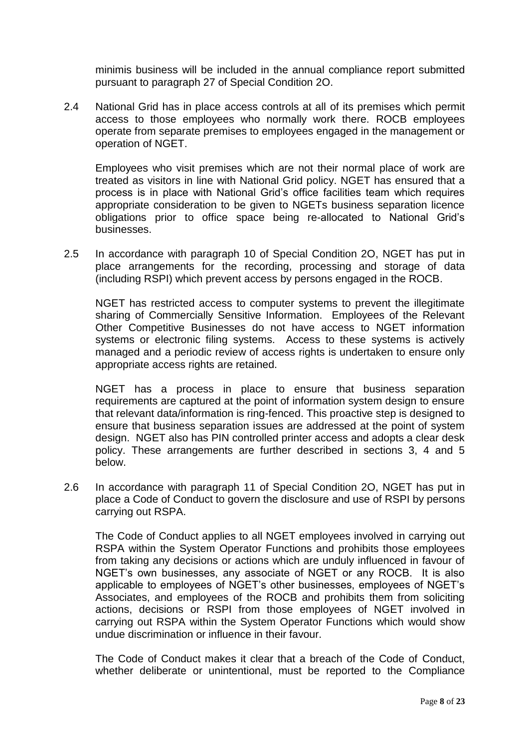minimis business will be included in the annual compliance report submitted pursuant to paragraph 27 of Special Condition 2O.

2.4 National Grid has in place access controls at all of its premises which permit access to those employees who normally work there. ROCB employees operate from separate premises to employees engaged in the management or operation of NGET.

Employees who visit premises which are not their normal place of work are treated as visitors in line with National Grid policy. NGET has ensured that a process is in place with National Grid's office facilities team which requires appropriate consideration to be given to NGETs business separation licence obligations prior to office space being re-allocated to National Grid's businesses.

2.5 In accordance with paragraph 10 of Special Condition 2O, NGET has put in place arrangements for the recording, processing and storage of data (including RSPI) which prevent access by persons engaged in the ROCB.

NGET has restricted access to computer systems to prevent the illegitimate sharing of Commercially Sensitive Information. Employees of the Relevant Other Competitive Businesses do not have access to NGET information systems or electronic filing systems. Access to these systems is actively managed and a periodic review of access rights is undertaken to ensure only appropriate access rights are retained.

NGET has a process in place to ensure that business separation requirements are captured at the point of information system design to ensure that relevant data/information is ring-fenced. This proactive step is designed to ensure that business separation issues are addressed at the point of system design. NGET also has PIN controlled printer access and adopts a clear desk policy. These arrangements are further described in sections 3, 4 and 5 below.

2.6 In accordance with paragraph 11 of Special Condition 2O, NGET has put in place a Code of Conduct to govern the disclosure and use of RSPI by persons carrying out RSPA.

The Code of Conduct applies to all NGET employees involved in carrying out RSPA within the System Operator Functions and prohibits those employees from taking any decisions or actions which are unduly influenced in favour of NGET's own businesses, any associate of NGET or any ROCB. It is also applicable to employees of NGET's other businesses, employees of NGET's Associates, and employees of the ROCB and prohibits them from soliciting actions, decisions or RSPI from those employees of NGET involved in carrying out RSPA within the System Operator Functions which would show undue discrimination or influence in their favour.

The Code of Conduct makes it clear that a breach of the Code of Conduct, whether deliberate or unintentional, must be reported to the Compliance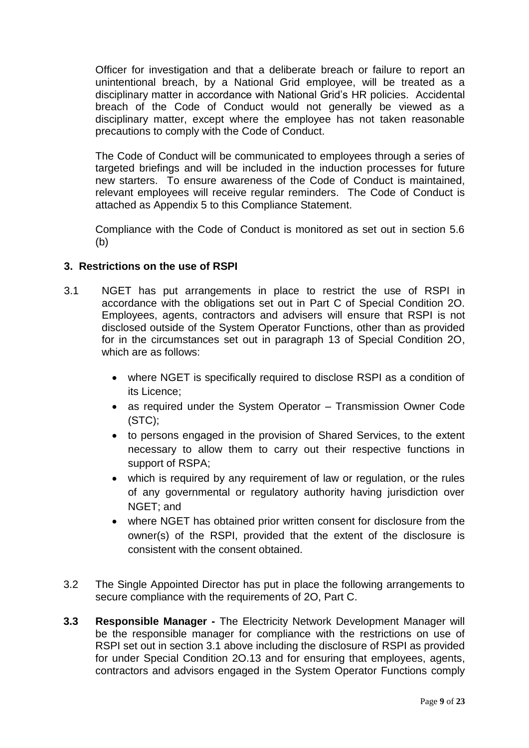Officer for investigation and that a deliberate breach or failure to report an unintentional breach, by a National Grid employee, will be treated as a disciplinary matter in accordance with National Grid's HR policies. Accidental breach of the Code of Conduct would not generally be viewed as a disciplinary matter, except where the employee has not taken reasonable precautions to comply with the Code of Conduct.

The Code of Conduct will be communicated to employees through a series of targeted briefings and will be included in the induction processes for future new starters. To ensure awareness of the Code of Conduct is maintained, relevant employees will receive regular reminders. The Code of Conduct is attached as Appendix 5 to this Compliance Statement.

Compliance with the Code of Conduct is monitored as set out in section 5.6 (b)

# **3. Restrictions on the use of RSPI**

- 3.1 NGET has put arrangements in place to restrict the use of RSPI in accordance with the obligations set out in Part C of Special Condition 2O. Employees, agents, contractors and advisers will ensure that RSPI is not disclosed outside of the System Operator Functions, other than as provided for in the circumstances set out in paragraph 13 of Special Condition 2O, which are as follows:
	- where NGET is specifically required to disclose RSPI as a condition of its Licence;
	- as required under the System Operator Transmission Owner Code (STC);
	- to persons engaged in the provision of Shared Services, to the extent necessary to allow them to carry out their respective functions in support of RSPA;
	- which is required by any requirement of law or regulation, or the rules of any governmental or regulatory authority having jurisdiction over NGET; and
	- where NGET has obtained prior written consent for disclosure from the owner(s) of the RSPI, provided that the extent of the disclosure is consistent with the consent obtained.
- 3.2 The Single Appointed Director has put in place the following arrangements to secure compliance with the requirements of 2O, Part C.
- **3.3 Responsible Manager -** The Electricity Network Development Manager will be the responsible manager for compliance with the restrictions on use of RSPI set out in section 3.1 above including the disclosure of RSPI as provided for under Special Condition 2O.13 and for ensuring that employees, agents, contractors and advisors engaged in the System Operator Functions comply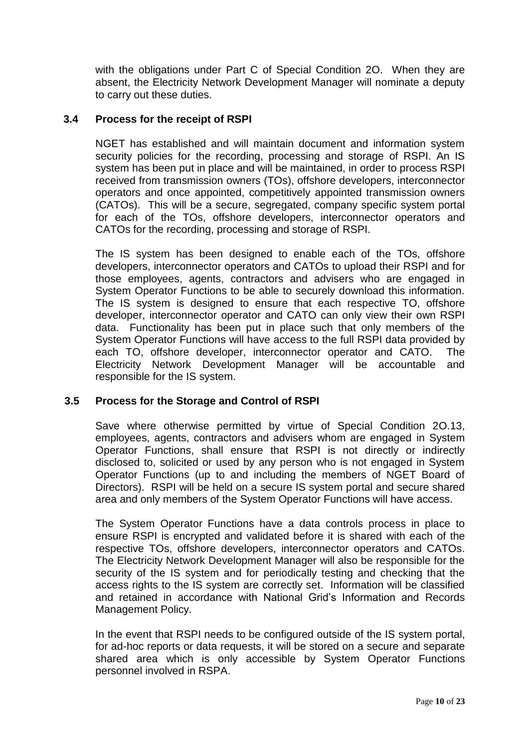with the obligations under Part C of Special Condition 2O. When they are absent, the Electricity Network Development Manager will nominate a deputy to carry out these duties.

# **3.4 Process for the receipt of RSPI**

NGET has established and will maintain document and information system security policies for the recording, processing and storage of RSPI. An IS system has been put in place and will be maintained, in order to process RSPI received from transmission owners (TOs), offshore developers, interconnector operators and once appointed, competitively appointed transmission owners (CATOs). This will be a secure, segregated, company specific system portal for each of the TOs, offshore developers, interconnector operators and CATOs for the recording, processing and storage of RSPI.

The IS system has been designed to enable each of the TOs, offshore developers, interconnector operators and CATOs to upload their RSPI and for those employees, agents, contractors and advisers who are engaged in System Operator Functions to be able to securely download this information. The IS system is designed to ensure that each respective TO, offshore developer, interconnector operator and CATO can only view their own RSPI data. Functionality has been put in place such that only members of the System Operator Functions will have access to the full RSPI data provided by each TO, offshore developer, interconnector operator and CATO. The Electricity Network Development Manager will be accountable and responsible for the IS system.

# **3.5 Process for the Storage and Control of RSPI**

Save where otherwise permitted by virtue of Special Condition 2O.13, employees, agents, contractors and advisers whom are engaged in System Operator Functions, shall ensure that RSPI is not directly or indirectly disclosed to, solicited or used by any person who is not engaged in System Operator Functions (up to and including the members of NGET Board of Directors). RSPI will be held on a secure IS system portal and secure shared area and only members of the System Operator Functions will have access.

The System Operator Functions have a data controls process in place to ensure RSPI is encrypted and validated before it is shared with each of the respective TOs, offshore developers, interconnector operators and CATOs. The Electricity Network Development Manager will also be responsible for the security of the IS system and for periodically testing and checking that the access rights to the IS system are correctly set. Information will be classified and retained in accordance with National Grid's Information and Records Management Policy.

In the event that RSPI needs to be configured outside of the IS system portal, for ad-hoc reports or data requests, it will be stored on a secure and separate shared area which is only accessible by System Operator Functions personnel involved in RSPA.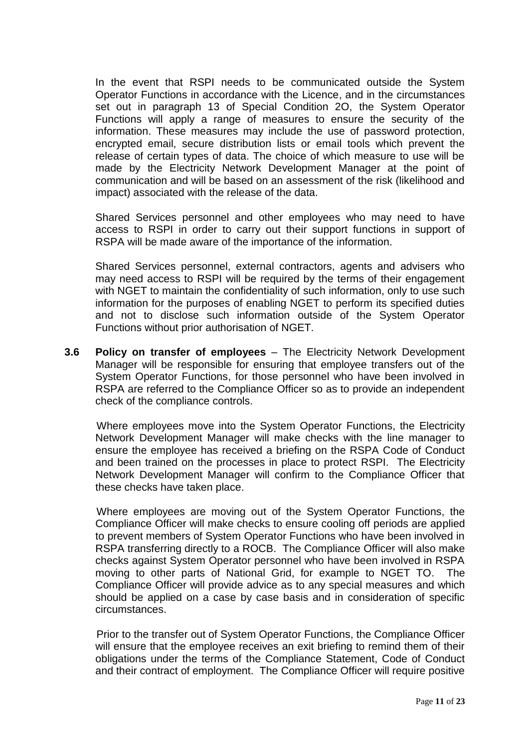In the event that RSPI needs to be communicated outside the System Operator Functions in accordance with the Licence, and in the circumstances set out in paragraph 13 of Special Condition 2O, the System Operator Functions will apply a range of measures to ensure the security of the information. These measures may include the use of password protection, encrypted email, secure distribution lists or email tools which prevent the release of certain types of data. The choice of which measure to use will be made by the Electricity Network Development Manager at the point of communication and will be based on an assessment of the risk (likelihood and impact) associated with the release of the data.

Shared Services personnel and other employees who may need to have access to RSPI in order to carry out their support functions in support of RSPA will be made aware of the importance of the information.

Shared Services personnel, external contractors, agents and advisers who may need access to RSPI will be required by the terms of their engagement with NGET to maintain the confidentiality of such information, only to use such information for the purposes of enabling NGET to perform its specified duties and not to disclose such information outside of the System Operator Functions without prior authorisation of NGET.

**3.6 Policy on transfer of employees** – The Electricity Network Development Manager will be responsible for ensuring that employee transfers out of the System Operator Functions, for those personnel who have been involved in RSPA are referred to the Compliance Officer so as to provide an independent check of the compliance controls.

Where employees move into the System Operator Functions, the Electricity Network Development Manager will make checks with the line manager to ensure the employee has received a briefing on the RSPA Code of Conduct and been trained on the processes in place to protect RSPI. The Electricity Network Development Manager will confirm to the Compliance Officer that these checks have taken place.

Where employees are moving out of the System Operator Functions, the Compliance Officer will make checks to ensure cooling off periods are applied to prevent members of System Operator Functions who have been involved in RSPA transferring directly to a ROCB. The Compliance Officer will also make checks against System Operator personnel who have been involved in RSPA moving to other parts of National Grid, for example to NGET TO. The Compliance Officer will provide advice as to any special measures and which should be applied on a case by case basis and in consideration of specific circumstances.

Prior to the transfer out of System Operator Functions, the Compliance Officer will ensure that the employee receives an exit briefing to remind them of their obligations under the terms of the Compliance Statement, Code of Conduct and their contract of employment. The Compliance Officer will require positive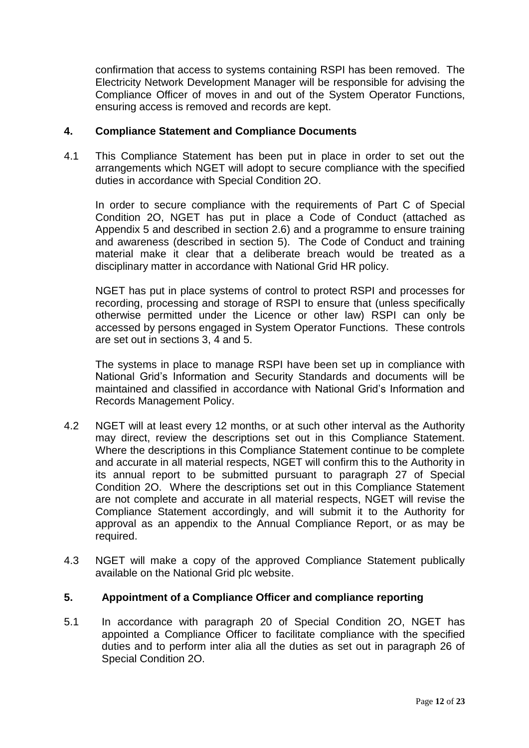confirmation that access to systems containing RSPI has been removed. The Electricity Network Development Manager will be responsible for advising the Compliance Officer of moves in and out of the System Operator Functions, ensuring access is removed and records are kept.

# **4. Compliance Statement and Compliance Documents**

4.1 This Compliance Statement has been put in place in order to set out the arrangements which NGET will adopt to secure compliance with the specified duties in accordance with Special Condition 2O.

In order to secure compliance with the requirements of Part C of Special Condition 2O, NGET has put in place a Code of Conduct (attached as Appendix 5 and described in section 2.6) and a programme to ensure training and awareness (described in section 5). The Code of Conduct and training material make it clear that a deliberate breach would be treated as a disciplinary matter in accordance with National Grid HR policy.

NGET has put in place systems of control to protect RSPI and processes for recording, processing and storage of RSPI to ensure that (unless specifically otherwise permitted under the Licence or other law) RSPI can only be accessed by persons engaged in System Operator Functions. These controls are set out in sections 3, 4 and 5.

The systems in place to manage RSPI have been set up in compliance with National Grid's Information and Security Standards and documents will be maintained and classified in accordance with National Grid's Information and Records Management Policy.

- 4.2 NGET will at least every 12 months, or at such other interval as the Authority may direct, review the descriptions set out in this Compliance Statement. Where the descriptions in this Compliance Statement continue to be complete and accurate in all material respects, NGET will confirm this to the Authority in its annual report to be submitted pursuant to paragraph 27 of Special Condition 2O. Where the descriptions set out in this Compliance Statement are not complete and accurate in all material respects, NGET will revise the Compliance Statement accordingly, and will submit it to the Authority for approval as an appendix to the Annual Compliance Report, or as may be required.
- 4.3 NGET will make a copy of the approved Compliance Statement publically available on the National Grid plc website.

# **5. Appointment of a Compliance Officer and compliance reporting**

5.1 In accordance with paragraph 20 of Special Condition 2O, NGET has appointed a Compliance Officer to facilitate compliance with the specified duties and to perform inter alia all the duties as set out in paragraph 26 of Special Condition 2O.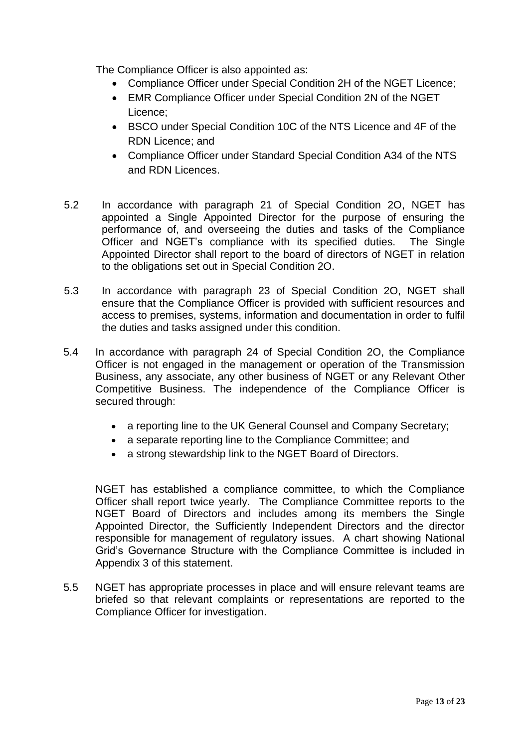The Compliance Officer is also appointed as:

- Compliance Officer under Special Condition 2H of the NGET Licence;
- EMR Compliance Officer under Special Condition 2N of the NGET Licence;
- BSCO under Special Condition 10C of the NTS Licence and 4F of the RDN Licence; and
- Compliance Officer under Standard Special Condition A34 of the NTS and RDN Licences.
- 5.2 In accordance with paragraph 21 of Special Condition 2O, NGET has appointed a Single Appointed Director for the purpose of ensuring the performance of, and overseeing the duties and tasks of the Compliance Officer and NGET's compliance with its specified duties. The Single Appointed Director shall report to the board of directors of NGET in relation to the obligations set out in Special Condition 2O.
- 5.3 In accordance with paragraph 23 of Special Condition 2O, NGET shall ensure that the Compliance Officer is provided with sufficient resources and access to premises, systems, information and documentation in order to fulfil the duties and tasks assigned under this condition.
- 5.4 In accordance with paragraph 24 of Special Condition 2O, the Compliance Officer is not engaged in the management or operation of the Transmission Business, any associate, any other business of NGET or any Relevant Other Competitive Business. The independence of the Compliance Officer is secured through:
	- a reporting line to the UK General Counsel and Company Secretary;
	- a separate reporting line to the Compliance Committee; and
	- a strong stewardship link to the NGET Board of Directors.

NGET has established a compliance committee, to which the Compliance Officer shall report twice yearly. The Compliance Committee reports to the NGET Board of Directors and includes among its members the Single Appointed Director, the Sufficiently Independent Directors and the director responsible for management of regulatory issues. A chart showing National Grid's Governance Structure with the Compliance Committee is included in Appendix 3 of this statement.

5.5 NGET has appropriate processes in place and will ensure relevant teams are briefed so that relevant complaints or representations are reported to the Compliance Officer for investigation.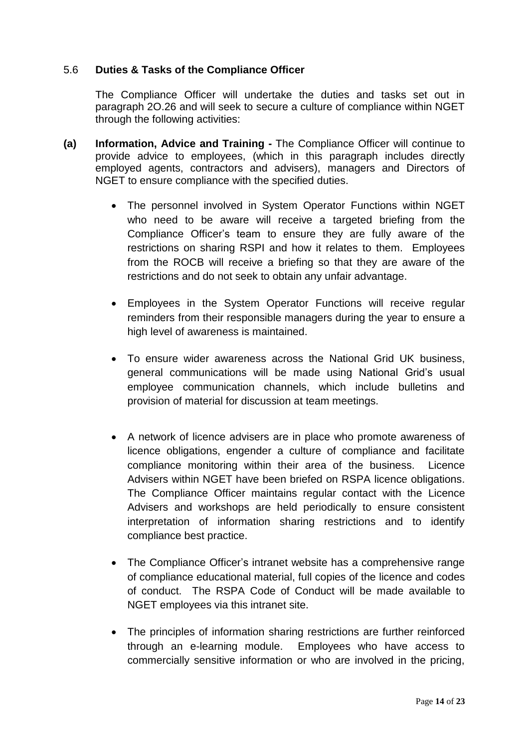# 5.6 **Duties & Tasks of the Compliance Officer**

The Compliance Officer will undertake the duties and tasks set out in paragraph 2O.26 and will seek to secure a culture of compliance within NGET through the following activities:

- **(a) Information, Advice and Training -** The Compliance Officer will continue to provide advice to employees, (which in this paragraph includes directly employed agents, contractors and advisers), managers and Directors of NGET to ensure compliance with the specified duties.
	- The personnel involved in System Operator Functions within NGET who need to be aware will receive a targeted briefing from the Compliance Officer's team to ensure they are fully aware of the restrictions on sharing RSPI and how it relates to them. Employees from the ROCB will receive a briefing so that they are aware of the restrictions and do not seek to obtain any unfair advantage.
	- Employees in the System Operator Functions will receive regular reminders from their responsible managers during the year to ensure a high level of awareness is maintained.
	- To ensure wider awareness across the National Grid UK business, general communications will be made using National Grid's usual employee communication channels, which include bulletins and provision of material for discussion at team meetings.
	- A network of licence advisers are in place who promote awareness of licence obligations, engender a culture of compliance and facilitate compliance monitoring within their area of the business. Licence Advisers within NGET have been briefed on RSPA licence obligations. The Compliance Officer maintains regular contact with the Licence Advisers and workshops are held periodically to ensure consistent interpretation of information sharing restrictions and to identify compliance best practice.
	- The Compliance Officer's intranet website has a comprehensive range of compliance educational material, full copies of the licence and codes of conduct. The RSPA Code of Conduct will be made available to NGET employees via this intranet site.
	- The principles of information sharing restrictions are further reinforced through an e-learning module. Employees who have access to commercially sensitive information or who are involved in the pricing,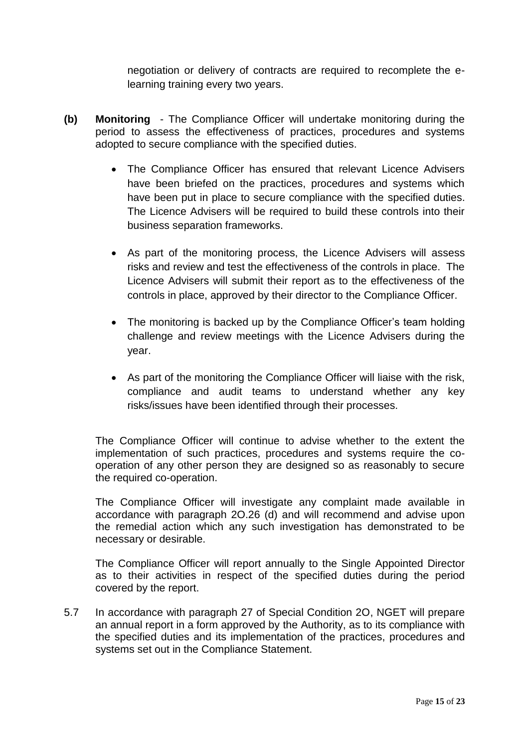negotiation or delivery of contracts are required to recomplete the elearning training every two years.

- **(b) Monitoring** The Compliance Officer will undertake monitoring during the period to assess the effectiveness of practices, procedures and systems adopted to secure compliance with the specified duties.
	- The Compliance Officer has ensured that relevant Licence Advisers have been briefed on the practices, procedures and systems which have been put in place to secure compliance with the specified duties. The Licence Advisers will be required to build these controls into their business separation frameworks.
	- As part of the monitoring process, the Licence Advisers will assess risks and review and test the effectiveness of the controls in place. The Licence Advisers will submit their report as to the effectiveness of the controls in place, approved by their director to the Compliance Officer.
	- The monitoring is backed up by the Compliance Officer's team holding challenge and review meetings with the Licence Advisers during the year.
	- As part of the monitoring the Compliance Officer will liaise with the risk, compliance and audit teams to understand whether any key risks/issues have been identified through their processes.

The Compliance Officer will continue to advise whether to the extent the implementation of such practices, procedures and systems require the cooperation of any other person they are designed so as reasonably to secure the required co-operation.

The Compliance Officer will investigate any complaint made available in accordance with paragraph 2O.26 (d) and will recommend and advise upon the remedial action which any such investigation has demonstrated to be necessary or desirable.

The Compliance Officer will report annually to the Single Appointed Director as to their activities in respect of the specified duties during the period covered by the report.

5.7 In accordance with paragraph 27 of Special Condition 2O, NGET will prepare an annual report in a form approved by the Authority, as to its compliance with the specified duties and its implementation of the practices, procedures and systems set out in the Compliance Statement.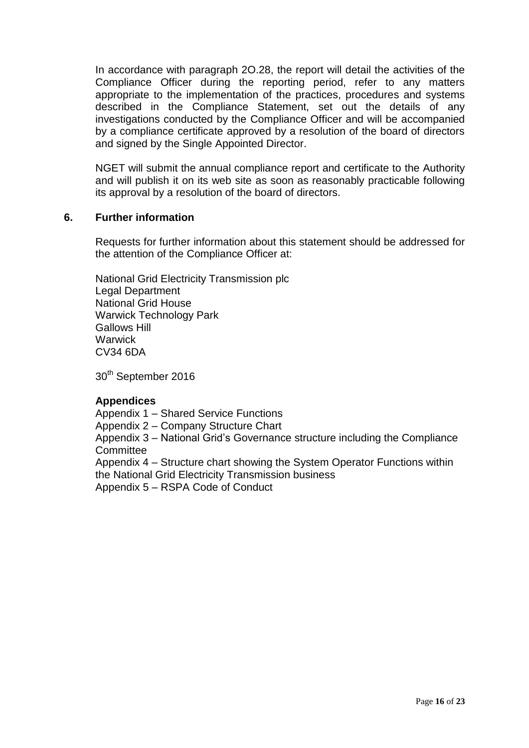In accordance with paragraph 2O.28, the report will detail the activities of the Compliance Officer during the reporting period, refer to any matters appropriate to the implementation of the practices, procedures and systems described in the Compliance Statement, set out the details of any investigations conducted by the Compliance Officer and will be accompanied by a compliance certificate approved by a resolution of the board of directors and signed by the Single Appointed Director.

NGET will submit the annual compliance report and certificate to the Authority and will publish it on its web site as soon as reasonably practicable following its approval by a resolution of the board of directors.

# **6. Further information**

Requests for further information about this statement should be addressed for the attention of the Compliance Officer at:

National Grid Electricity Transmission plc Legal Department National Grid House Warwick Technology Park Gallows Hill **Warwick** CV34 6DA

30<sup>th</sup> September 2016

# **Appendices**

Appendix 1 – Shared Service Functions

Appendix 2 – Company Structure Chart

Appendix 3 – National Grid's Governance structure including the Compliance **Committee** 

Appendix 4 – Structure chart showing the System Operator Functions within the National Grid Electricity Transmission business

Appendix 5 – RSPA Code of Conduct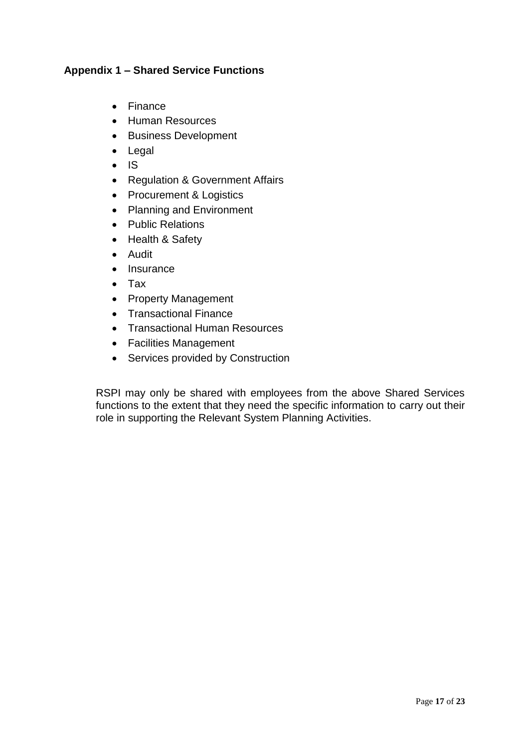# **Appendix 1 – Shared Service Functions**

- Finance
- Human Resources
- Business Development
- Legal
- $\bullet$  IS
- Regulation & Government Affairs
- Procurement & Logistics
- Planning and Environment
- Public Relations
- Health & Safety
- Audit
- Insurance
- Tax
- Property Management
- Transactional Finance
- Transactional Human Resources
- Facilities Management
- Services provided by Construction

RSPI may only be shared with employees from the above Shared Services functions to the extent that they need the specific information to carry out their role in supporting the Relevant System Planning Activities.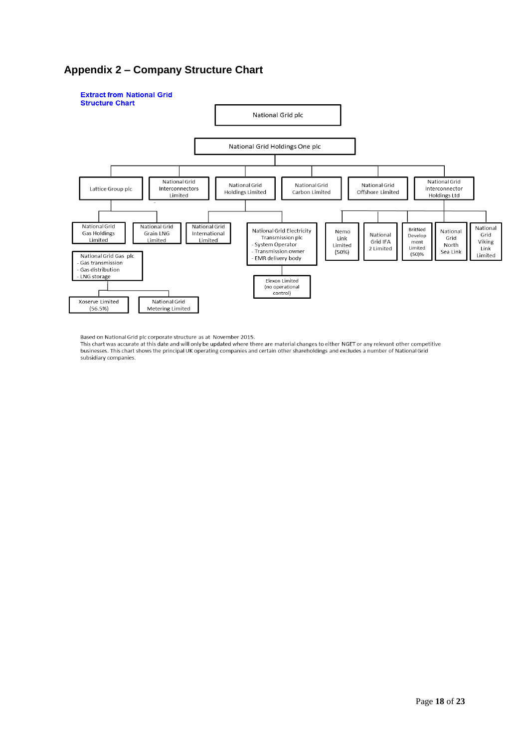# **Appendix 2 – Company Structure Chart**



Based on National Grid plc corporate structure as at November 2015.

This chart was accurate at this date and will only be updated where there are material changes to either NGET or any relevant other competitive businesses. This chart shows the principal UK operating companies and certain other shareholdings and excludes a number of National Grid subsidiary companies.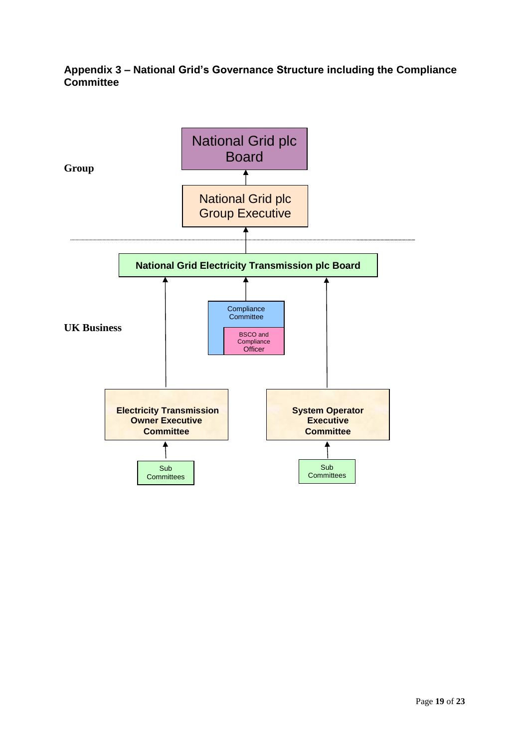# **Appendix 3 – National Grid's Governance Structure including the Compliance Committee**

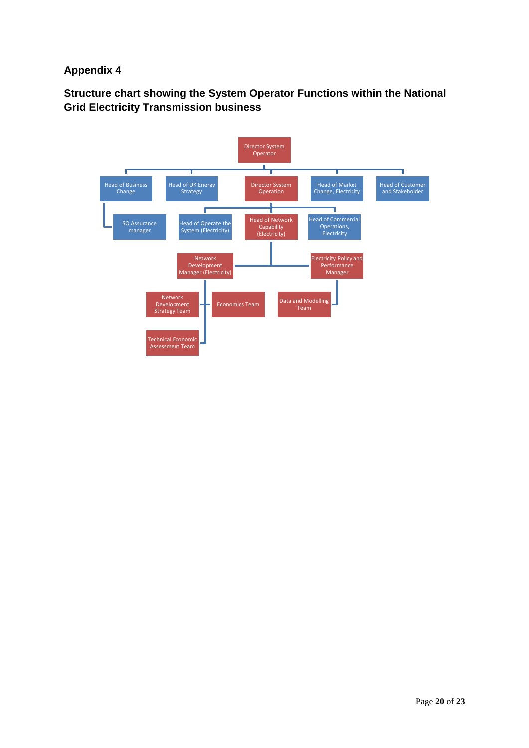# **Appendix 4**

**Structure chart showing the System Operator Functions within the National Grid Electricity Transmission business**

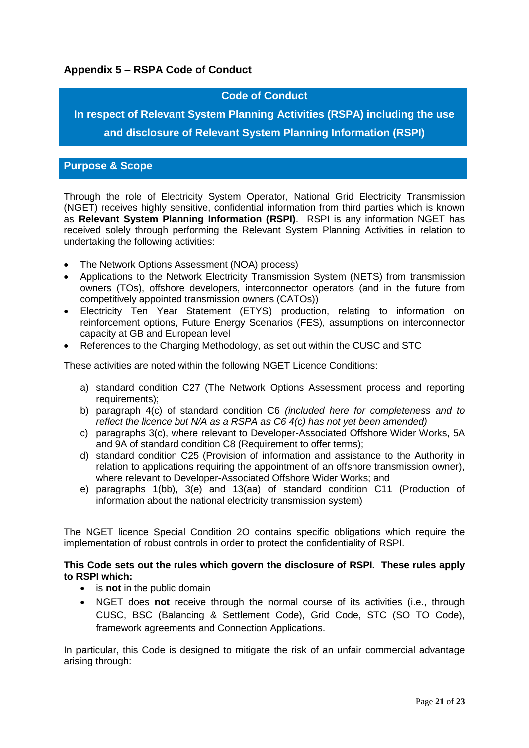# **Appendix 5 – RSPA Code of Conduct**

# **Code of Conduct**

**In respect of Relevant System Planning Activities (RSPA) including the use and disclosure of Relevant System Planning Information (RSPI)**

## **Purpose & Scope**

Through the role of Electricity System Operator, National Grid Electricity Transmission (NGET) receives highly sensitive, confidential information from third parties which is known as **Relevant System Planning Information (RSPI)**. RSPI is any information NGET has received solely through performing the Relevant System Planning Activities in relation to undertaking the following activities:

- The Network Options Assessment (NOA) process)
- Applications to the Network Electricity Transmission System (NETS) from transmission owners (TOs), offshore developers, interconnector operators (and in the future from competitively appointed transmission owners (CATOs))
- Electricity Ten Year Statement (ETYS) production, relating to information on reinforcement options, Future Energy Scenarios (FES), assumptions on interconnector capacity at GB and European level
- References to the Charging Methodology, as set out within the CUSC and STC

These activities are noted within the following NGET Licence Conditions:

- a) standard condition C27 (The Network Options Assessment process and reporting requirements);
- b) paragraph 4(c) of standard condition C6 *(included here for completeness and to reflect the licence but N/A as a RSPA as C6 4(c) has not yet been amended)*
- c) paragraphs 3(c), where relevant to Developer-Associated Offshore Wider Works, 5A and 9A of standard condition C8 (Requirement to offer terms);
- d) standard condition C25 (Provision of information and assistance to the Authority in relation to applications requiring the appointment of an offshore transmission owner), where relevant to Developer-Associated Offshore Wider Works; and
- e) paragraphs 1(bb), 3(e) and 13(aa) of standard condition C11 (Production of information about the national electricity transmission system)

The NGET licence Special Condition 2O contains specific obligations which require the implementation of robust controls in order to protect the confidentiality of RSPI.

#### **This Code sets out the rules which govern the disclosure of RSPI. These rules apply to RSPI which:**

- is **not** in the public domain
- NGET does **not** receive through the normal course of its activities (i.e., through CUSC, BSC (Balancing & Settlement Code), Grid Code, STC (SO TO Code), framework agreements and Connection Applications.

In particular, this Code is designed to mitigate the risk of an unfair commercial advantage arising through: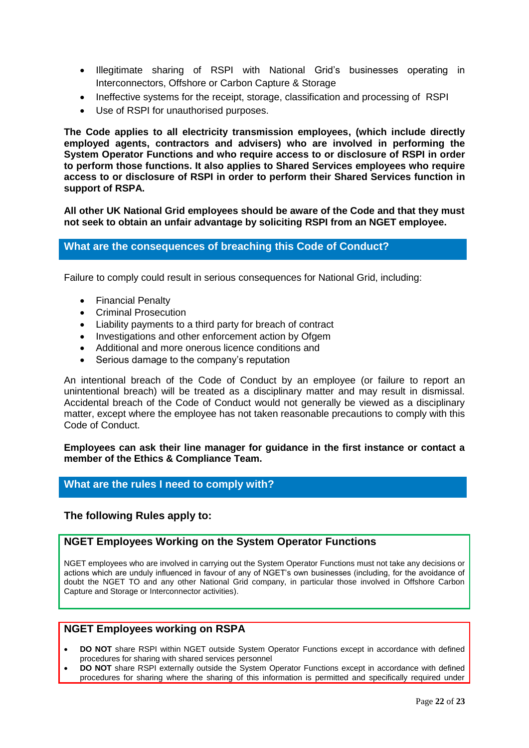- Illegitimate sharing of RSPI with National Grid's businesses operating in Interconnectors, Offshore or Carbon Capture & Storage
- Ineffective systems for the receipt, storage, classification and processing of RSPI
- Use of RSPI for unauthorised purposes.

**The Code applies to all electricity transmission employees, (which include directly employed agents, contractors and advisers) who are involved in performing the System Operator Functions and who require access to or disclosure of RSPI in order to perform those functions. It also applies to Shared Services employees who require access to or disclosure of RSPI in order to perform their Shared Services function in support of RSPA.**

**All other UK National Grid employees should be aware of the Code and that they must not seek to obtain an unfair advantage by soliciting RSPI from an NGET employee.** 

# **What are the consequences of breaching this Code of Conduct?**

Failure to comply could result in serious consequences for National Grid, including:

- Financial Penalty
- Criminal Prosecution
- Liability payments to a third party for breach of contract
- Investigations and other enforcement action by Ofgem
- Additional and more onerous licence conditions and
- Serious damage to the company's reputation

An intentional breach of the Code of Conduct by an employee (or failure to report an unintentional breach) will be treated as a disciplinary matter and may result in dismissal. Accidental breach of the Code of Conduct would not generally be viewed as a disciplinary matter, except where the employee has not taken reasonable precautions to comply with this Code of Conduct.

**Employees can ask their line manager for guidance in the first instance or contact a member of the Ethics & Compliance Team.** 

## **What are the rules I need to comply with?**

#### **The following Rules apply to:**

#### **NGET Employees Working on the System Operator Functions**

NGET employees who are involved in carrying out the System Operator Functions must not take any decisions or actions which are unduly influenced in favour of any of NGET's own businesses (including, for the avoidance of doubt the NGET TO and any other National Grid company, in particular those involved in Offshore Carbon Capture and Storage or Interconnector activities).

### **NGET Employees working on RSPA**

- **DO NOT** share RSPI within NGET outside System Operator Functions except in accordance with defined procedures for sharing with shared services personnel
- **DO NOT** share RSPI externally outside the System Operator Functions except in accordance with defined procedures for sharing where the sharing of this information is permitted and specifically required under